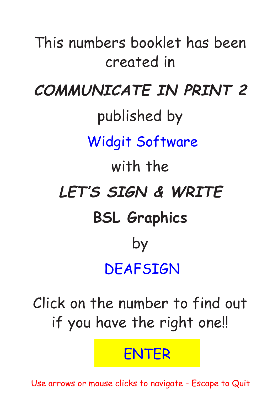This numbers booklet has been created in **COMMUNICATE IN PRINT 2**  published by **Widgit Software** Widgit Software with the **LET'S SIGN & WRITE BSL Graphics** by **DEAFSIGN** DEAFSIGN

Click on the number to find out if you have the right one!!

ENTER<br>Use arrows or mouse clicks to navigate - Escape to Quit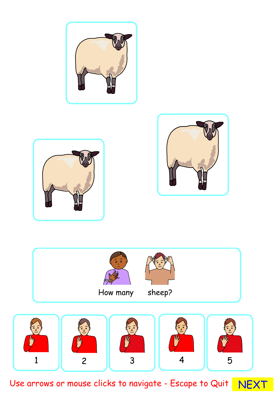







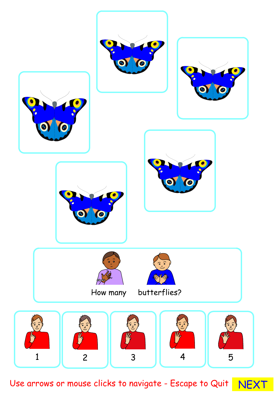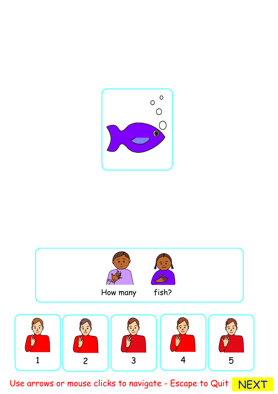

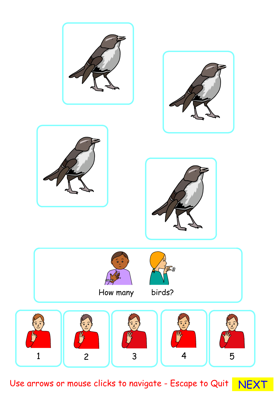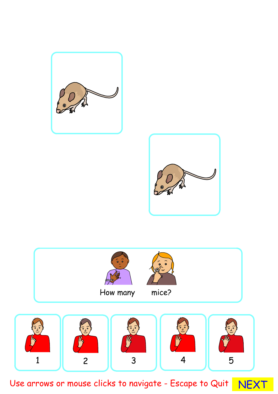![](_page_5_Picture_0.jpeg)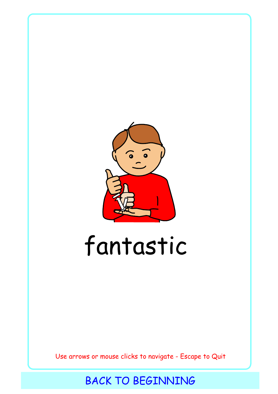<span id="page-6-0"></span>![](_page_6_Picture_0.jpeg)

## fantastic

Use arrows or mouse clicks to navigate - Escape to Quit<br>BACK TO BEGINNING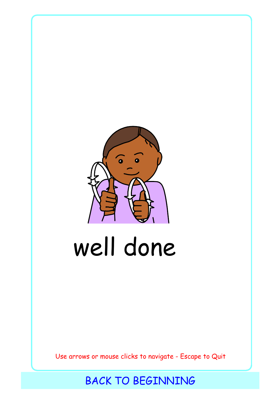<span id="page-7-0"></span>![](_page_7_Picture_0.jpeg)

# well done

Use arrows or mouse clicks to navigate - Escape to Quit<br>BACK TO BEGINNING